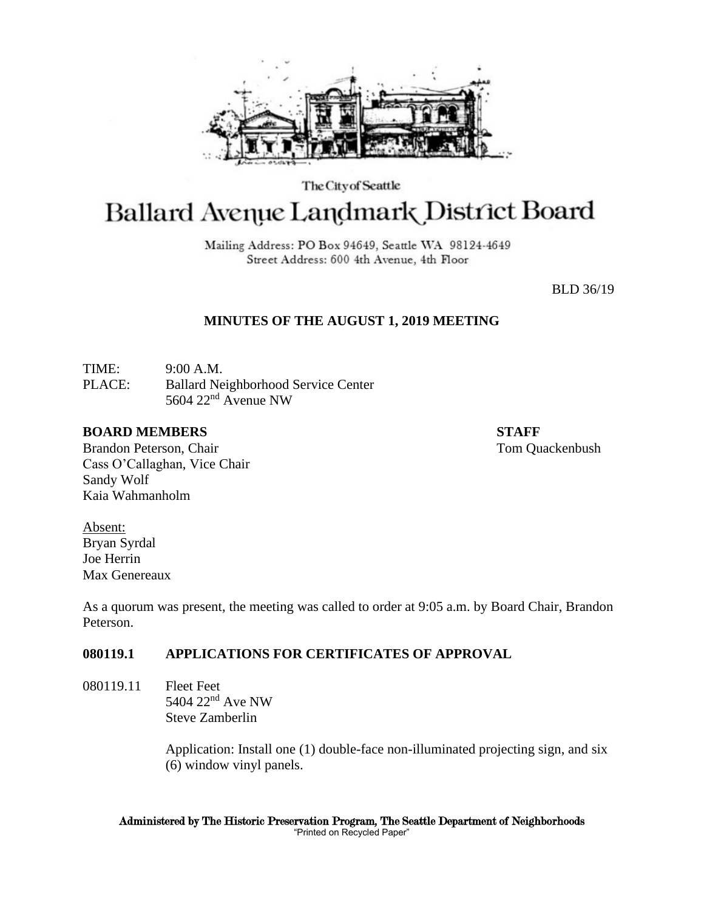

The City of Seattle

# Ballard Avenue Landmark District Board

Mailing Address: PO Box 94649, Seattle WA 98124-4649 Street Address: 600 4th Avenue, 4th Floor

BLD 36/19

## **MINUTES OF THE AUGUST 1, 2019 MEETING**

TIME: 9:00 A.M. PLACE: Ballard Neighborhood Service Center 5604 22nd Avenue NW

#### **BOARD MEMBERS STAFF**

Brandon Peterson, Chair Tom Quackenbush Cass O'Callaghan, Vice Chair Sandy Wolf Kaia Wahmanholm

Absent: Bryan Syrdal Joe Herrin Max Genereaux

As a quorum was present, the meeting was called to order at 9:05 a.m. by Board Chair, Brandon Peterson.

## **080119.1 APPLICATIONS FOR CERTIFICATES OF APPROVAL**

080119.11 Fleet Feet 5404 22nd Ave NW Steve Zamberlin

> Application: Install one (1) double-face non-illuminated projecting sign, and six (6) window vinyl panels.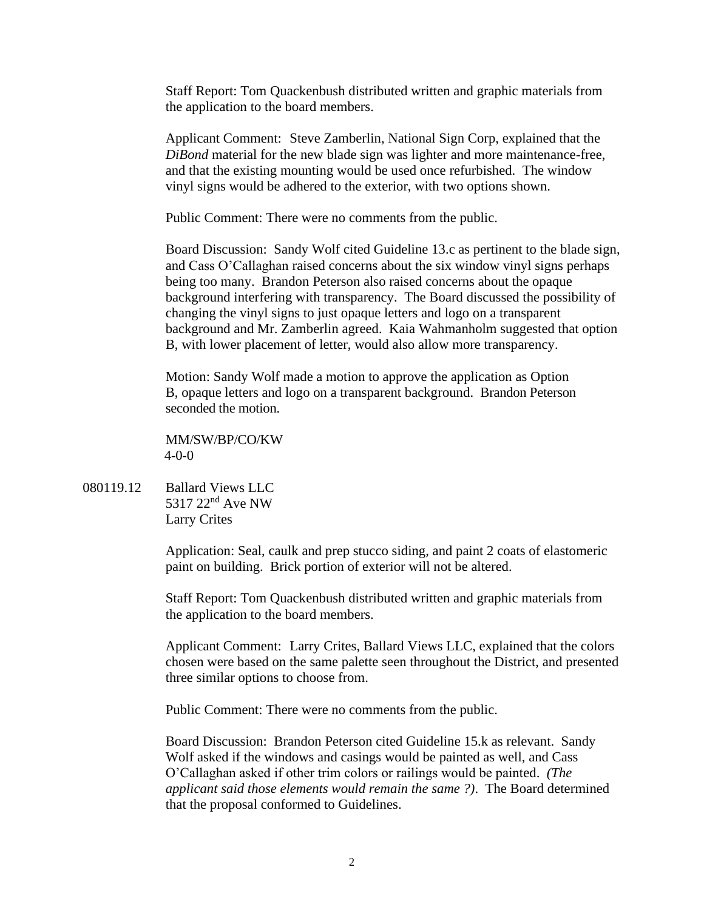Staff Report: Tom Quackenbush distributed written and graphic materials from the application to the board members.

Applicant Comment: Steve Zamberlin, National Sign Corp, explained that the *DiBond* material for the new blade sign was lighter and more maintenance-free, and that the existing mounting would be used once refurbished. The window vinyl signs would be adhered to the exterior, with two options shown.

Public Comment: There were no comments from the public.

Board Discussion: Sandy Wolf cited Guideline 13.c as pertinent to the blade sign, and Cass O'Callaghan raised concerns about the six window vinyl signs perhaps being too many. Brandon Peterson also raised concerns about the opaque background interfering with transparency. The Board discussed the possibility of changing the vinyl signs to just opaque letters and logo on a transparent background and Mr. Zamberlin agreed. Kaia Wahmanholm suggested that option B, with lower placement of letter, would also allow more transparency.

Motion: Sandy Wolf made a motion to approve the application as Option B, opaque letters and logo on a transparent background. Brandon Peterson seconded the motion.

MM/SW/BP/CO/KW 4-0-0

080119.12 Ballard Views LLC 5317 22<sup>nd</sup> Ave NW Larry Crites

> Application: Seal, caulk and prep stucco siding, and paint 2 coats of elastomeric paint on building. Brick portion of exterior will not be altered.

Staff Report: Tom Quackenbush distributed written and graphic materials from the application to the board members.

Applicant Comment: Larry Crites, Ballard Views LLC, explained that the colors chosen were based on the same palette seen throughout the District, and presented three similar options to choose from.

Public Comment: There were no comments from the public.

Board Discussion: Brandon Peterson cited Guideline 15.k as relevant. Sandy Wolf asked if the windows and casings would be painted as well, and Cass O'Callaghan asked if other trim colors or railings would be painted. *(The applicant said those elements would remain the same ?)*. The Board determined that the proposal conformed to Guidelines.